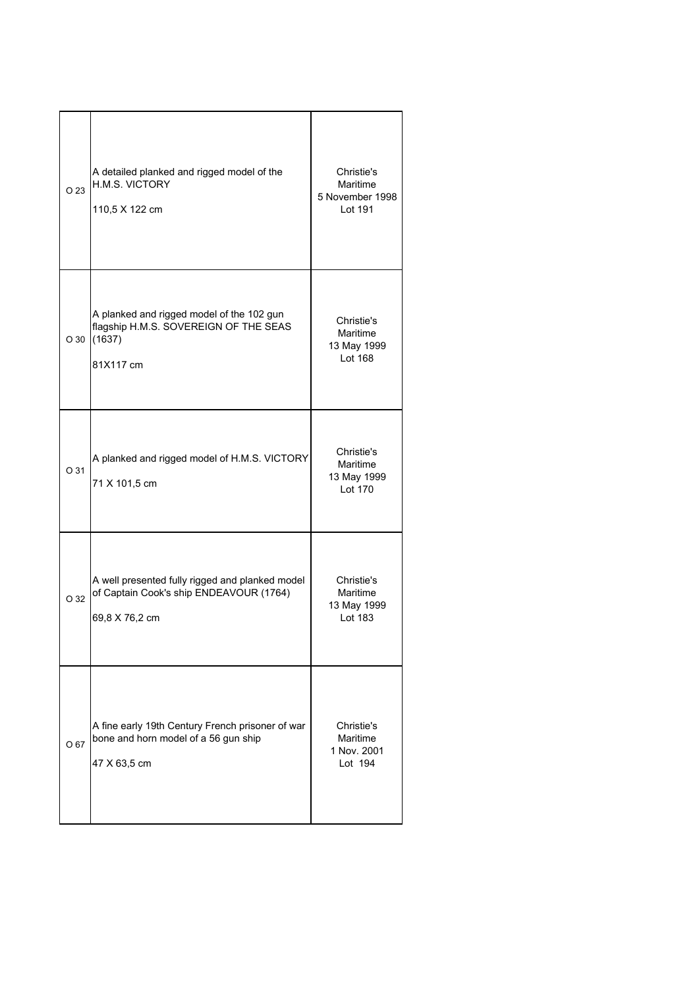| O 23 | A detailed planked and rigged model of the<br>H.M.S. VICTORY<br>110,5 X 122 cm                               | Christie's<br>Maritime<br>5 November 1998<br>Lot 191 |
|------|--------------------------------------------------------------------------------------------------------------|------------------------------------------------------|
| O 30 | A planked and rigged model of the 102 gun<br>flagship H.M.S. SOVEREIGN OF THE SEAS<br>(1637)<br>81X117 cm    | Christie's<br>Maritime<br>13 May 1999<br>Lot 168     |
| O 31 | A planked and rigged model of H.M.S. VICTORY<br>71 X 101,5 cm                                                | Christie's<br>Maritime<br>13 May 1999<br>Lot 170     |
| O 32 | A well presented fully rigged and planked model<br>of Captain Cook's ship ENDEAVOUR (1764)<br>69,8 X 76,2 cm | Christie's<br>Maritime<br>13 May 1999<br>Lot 183     |
| O 67 | A fine early 19th Century French prisoner of war<br>bone and horn model of a 56 gun ship<br>47 X 63,5 cm     | Christie's<br>Maritime<br>1 Nov. 2001<br>Lot 194     |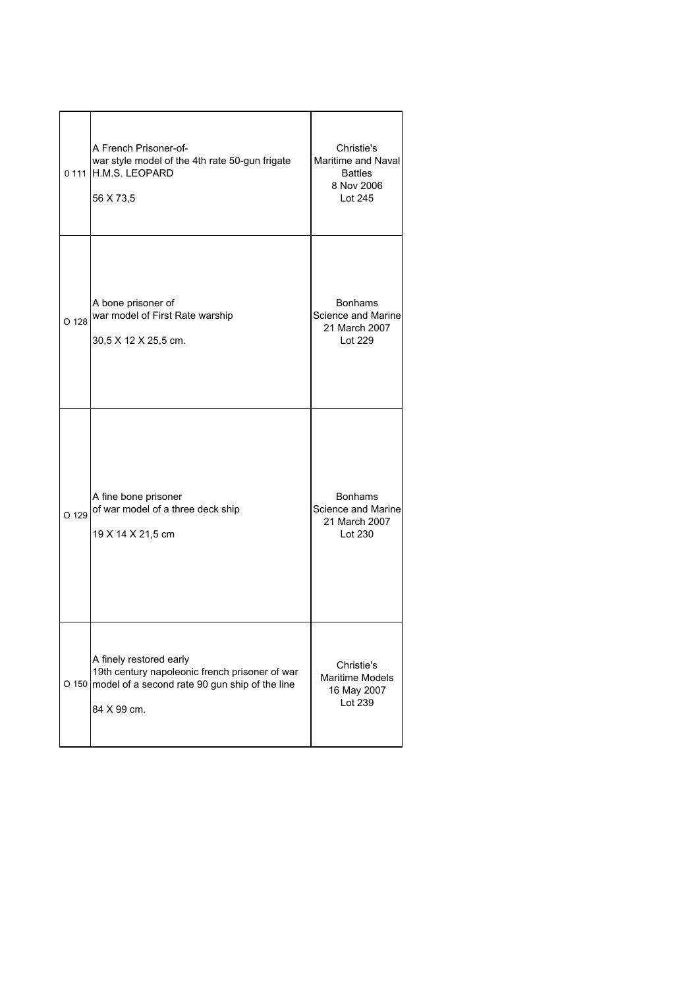|       | A French Prisoner-of-<br>war style model of the 4th rate 50-gun frigate<br>0 111 H.M.S. LEOPARD<br>56 X 73,5                                     | Christie's<br>Maritime and Naval<br><b>Battles</b><br>8 Nov 2006<br>Lot 245 |
|-------|--------------------------------------------------------------------------------------------------------------------------------------------------|-----------------------------------------------------------------------------|
| O 128 | A bone prisoner of<br>war model of First Rate warship<br>30,5 X 12 X 25,5 cm.                                                                    | <b>Bonhams</b><br>Science and Marine<br>21 March 2007<br>Lot 229            |
| O 129 | A fine bone prisoner<br>of war model of a three deck ship<br>19 X 14 X 21,5 cm                                                                   | <b>Bonhams</b><br>Science and Marine<br>21 March 2007<br>Lot 230            |
|       | A finely restored early<br>19th century napoleonic french prisoner of war<br>O 150 model of a second rate 90 gun ship of the line<br>84 X 99 cm. | Christie's<br><b>Maritime Models</b><br>16 May 2007<br>Lot 239              |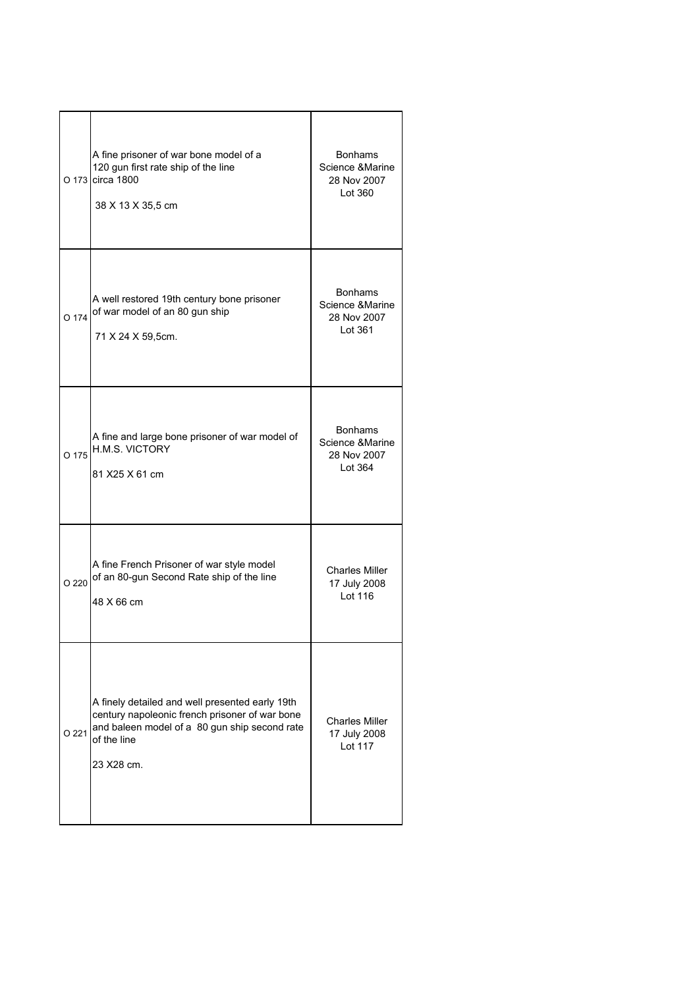|                  | A fine prisoner of war bone model of a<br>120 gun first rate ship of the line<br>O 173 circa 1800<br>38 X 13 X 35,5 cm                                                          | <b>Bonhams</b><br>Science &Marine<br>28 Nov 2007<br>Lot 360  |
|------------------|---------------------------------------------------------------------------------------------------------------------------------------------------------------------------------|--------------------------------------------------------------|
| O 174            | A well restored 19th century bone prisoner<br>of war model of an 80 gun ship<br>71 X 24 X 59,5cm.                                                                               | <b>Bonhams</b><br>Science & Marine<br>28 Nov 2007<br>Lot 361 |
| O 175            | A fine and large bone prisoner of war model of<br>H.M.S. VICTORY<br>81 X25 X 61 cm                                                                                              | <b>Bonhams</b><br>Science &Marine<br>28 Nov 2007<br>Lot 364  |
| O <sub>220</sub> | A fine French Prisoner of war style model<br>of an 80-gun Second Rate ship of the line<br>48 X 66 cm                                                                            | <b>Charles Miller</b><br>17 July 2008<br>Lot 116             |
| O <sub>221</sub> | A finely detailed and well presented early 19th<br>century napoleonic french prisoner of war bone<br>and baleen model of a 80 gun ship second rate<br>of the line<br>23 X28 cm. | <b>Charles Miller</b><br>17 July 2008<br>Lot 117             |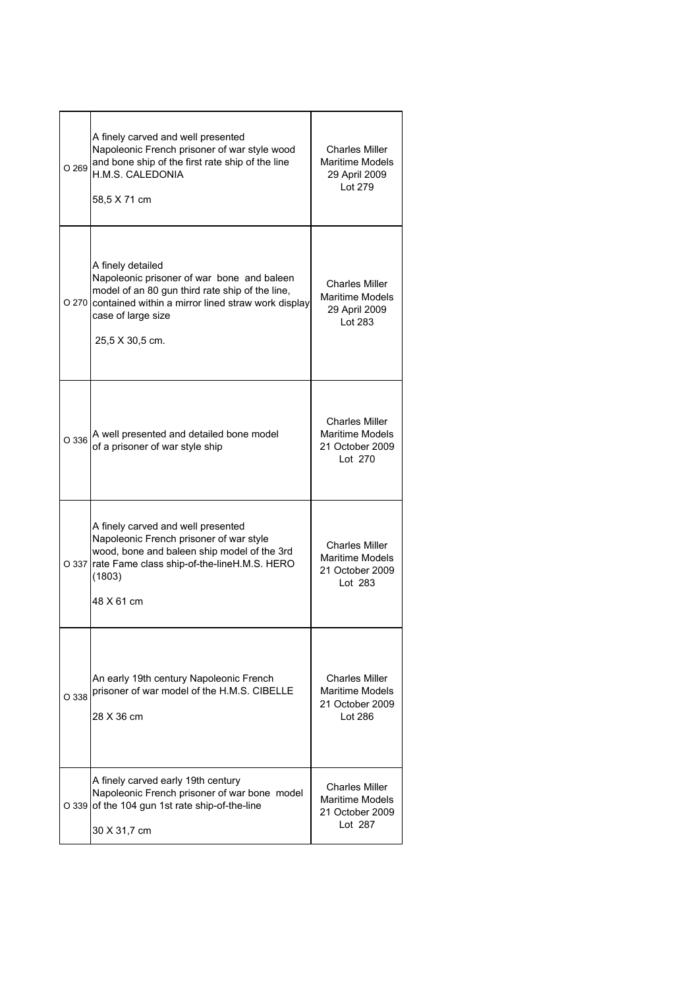| O 269 | A finely carved and well presented<br>Napoleonic French prisoner of war style wood<br>and bone ship of the first rate ship of the line<br>H.M.S. CALEDONIA<br>58,5 X 71 cm                                        | <b>Charles Miller</b><br><b>Maritime Models</b><br>29 April 2009<br>Lot 279   |
|-------|-------------------------------------------------------------------------------------------------------------------------------------------------------------------------------------------------------------------|-------------------------------------------------------------------------------|
| O 270 | A finely detailed<br>Napoleonic prisoner of war bone and baleen<br>model of an 80 gun third rate ship of the line,<br>contained within a mirror lined straw work display<br>case of large size<br>25,5 X 30,5 cm. | <b>Charles Miller</b><br><b>Maritime Models</b><br>29 April 2009<br>Lot 283   |
| O 336 | A well presented and detailed bone model<br>of a prisoner of war style ship                                                                                                                                       | <b>Charles Miller</b><br><b>Maritime Models</b><br>21 October 2009<br>Lot 270 |
| O 337 | A finely carved and well presented<br>Napoleonic French prisoner of war style<br>wood, bone and baleen ship model of the 3rd<br>rate Fame class ship-of-the-lineH.M.S. HERO<br>(1803)<br>48 X 61 cm               | <b>Charles Miller</b><br><b>Maritime Models</b><br>21 October 2009<br>Lot 283 |
| O 338 | An early 19th century Napoleonic French<br>prisoner of war model of the H.M.S. CIBELLE<br>28 X 36 cm                                                                                                              | <b>Charles Miller</b><br><b>Maritime Models</b><br>21 October 2009<br>Lot 286 |
| O 339 | A finely carved early 19th century<br>Napoleonic French prisoner of war bone model<br>of the 104 gun 1st rate ship-of-the-line<br>30 X 31,7 cm                                                                    | <b>Charles Miller</b><br><b>Maritime Models</b><br>21 October 2009<br>Lot 287 |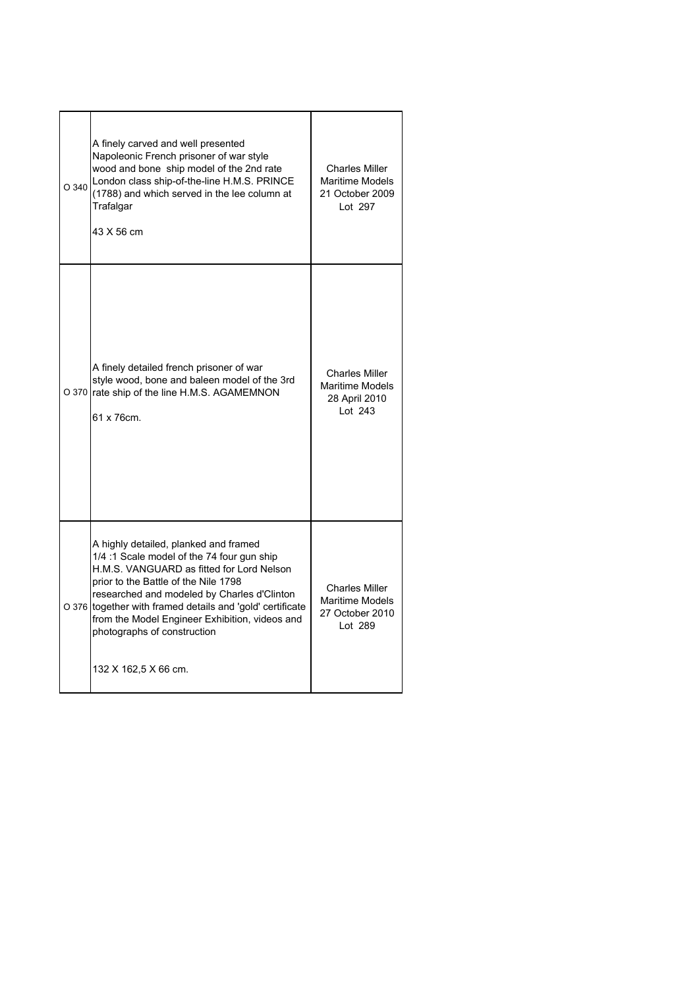| O 340 | A finely carved and well presented<br>Napoleonic French prisoner of war style<br>wood and bone ship model of the 2nd rate<br>London class ship-of-the-line H.M.S. PRINCE<br>(1788) and which served in the lee column at<br>Trafalgar<br>43 X 56 cm                                                                                                                                           | <b>Charles Miller</b><br><b>Maritime Models</b><br>21 October 2009<br>Lot 297 |
|-------|-----------------------------------------------------------------------------------------------------------------------------------------------------------------------------------------------------------------------------------------------------------------------------------------------------------------------------------------------------------------------------------------------|-------------------------------------------------------------------------------|
|       | A finely detailed french prisoner of war<br>style wood, bone and baleen model of the 3rd<br>O 370 rate ship of the line H.M.S. AGAMEMNON<br>61 x 76cm.                                                                                                                                                                                                                                        | <b>Charles Miller</b><br><b>Maritime Models</b><br>28 April 2010<br>Lot 243   |
|       | A highly detailed, planked and framed<br>1/4 :1 Scale model of the 74 four gun ship<br>H.M.S. VANGUARD as fitted for Lord Nelson<br>prior to the Battle of the Nile 1798<br>researched and modeled by Charles d'Clinton<br>O 376 together with framed details and 'gold' certificate<br>from the Model Engineer Exhibition, videos and<br>photographs of construction<br>132 X 162,5 X 66 cm. | <b>Charles Miller</b><br><b>Maritime Models</b><br>27 October 2010<br>Lot 289 |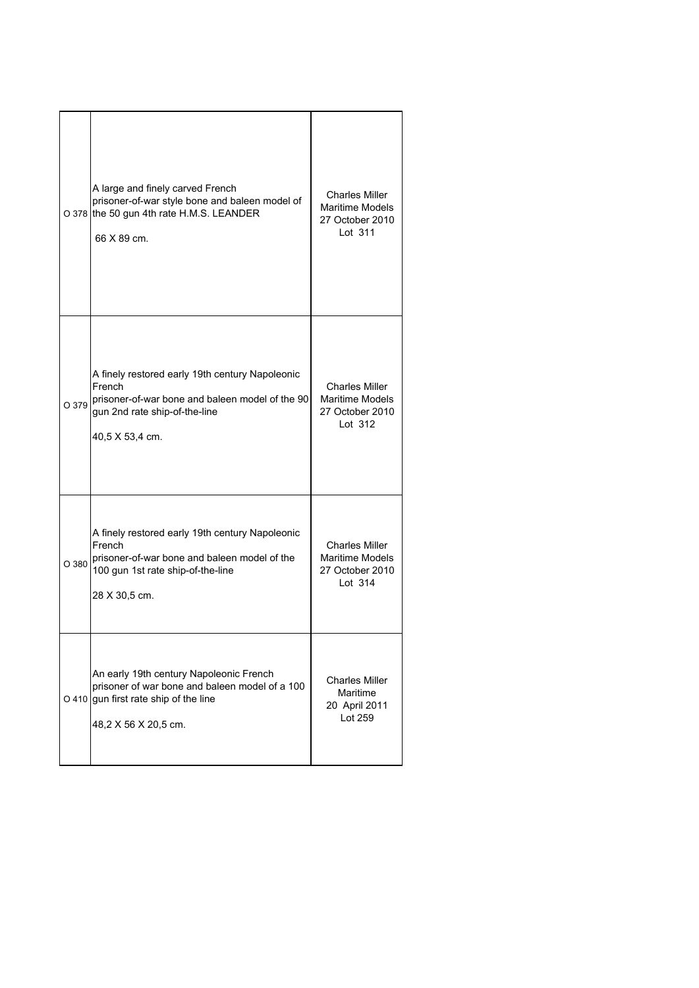| O 378 | A large and finely carved French<br>prisoner-of-war style bone and baleen model of<br>the 50 gun 4th rate H.M.S. LEANDER<br>66 X 89 cm.                          | <b>Charles Miller</b><br><b>Maritime Models</b><br>27 October 2010<br>Lot 311 |
|-------|------------------------------------------------------------------------------------------------------------------------------------------------------------------|-------------------------------------------------------------------------------|
| O 379 | A finely restored early 19th century Napoleonic<br>French<br>prisoner-of-war bone and baleen model of the 90<br>gun 2nd rate ship-of-the-line<br>40,5 X 53,4 cm. | <b>Charles Miller</b><br><b>Maritime Models</b><br>27 October 2010<br>Lot 312 |
| O 380 | A finely restored early 19th century Napoleonic<br>French<br>prisoner-of-war bone and baleen model of the<br>100 gun 1st rate ship-of-the-line<br>28 X 30,5 cm.  | <b>Charles Miller</b><br><b>Maritime Models</b><br>27 October 2010<br>Lot 314 |
| O 410 | An early 19th century Napoleonic French<br>prisoner of war bone and baleen model of a 100<br>gun first rate ship of the line<br>48,2 X 56 X 20,5 cm.             | <b>Charles Miller</b><br>Maritime<br>20 April 2011<br>Lot 259                 |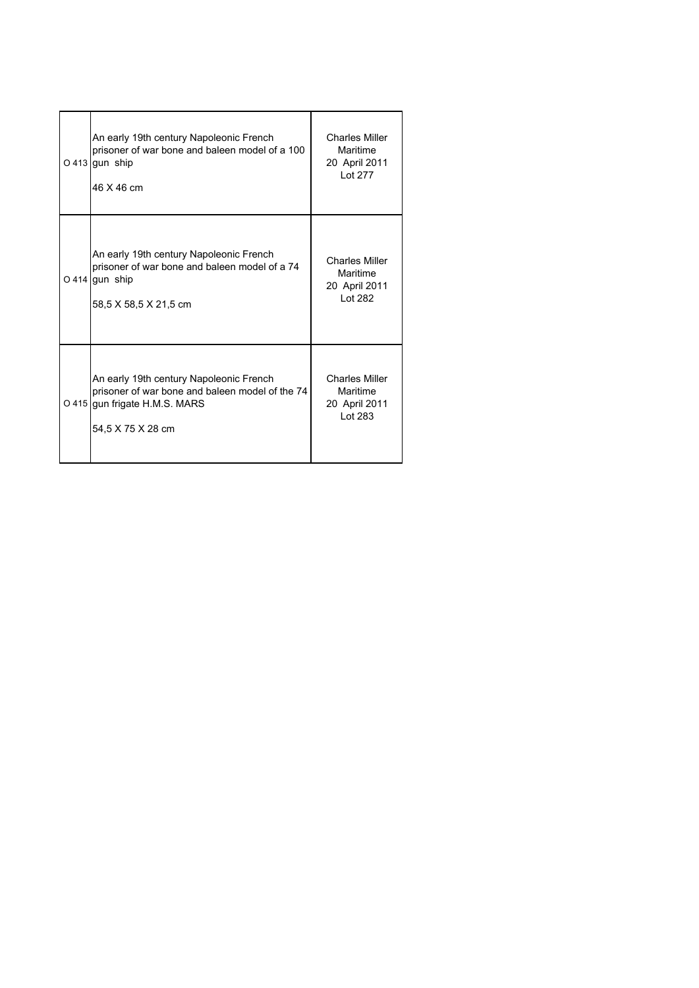| O 413   | An early 19th century Napoleonic French<br>prisoner of war bone and baleen model of a 100<br>gun ship<br>46 X 46 cm                        | <b>Charles Miller</b><br>Maritime<br>20 April 2011<br>Lot 277        |
|---------|--------------------------------------------------------------------------------------------------------------------------------------------|----------------------------------------------------------------------|
| O 414   | An early 19th century Napoleonic French<br>prisoner of war bone and baleen model of a 74<br>gun ship<br>58,5 X 58,5 X 21,5 cm              | <b>Charles Miller</b><br><b>Maritime</b><br>20 April 2011<br>Lot 282 |
| $O$ 415 | An early 19th century Napoleonic French<br>prisoner of war bone and baleen model of the 74<br>gun frigate H.M.S. MARS<br>54.5 X 75 X 28 cm | <b>Charles Miller</b><br>Maritime<br>20 April 2011<br>Lot 283        |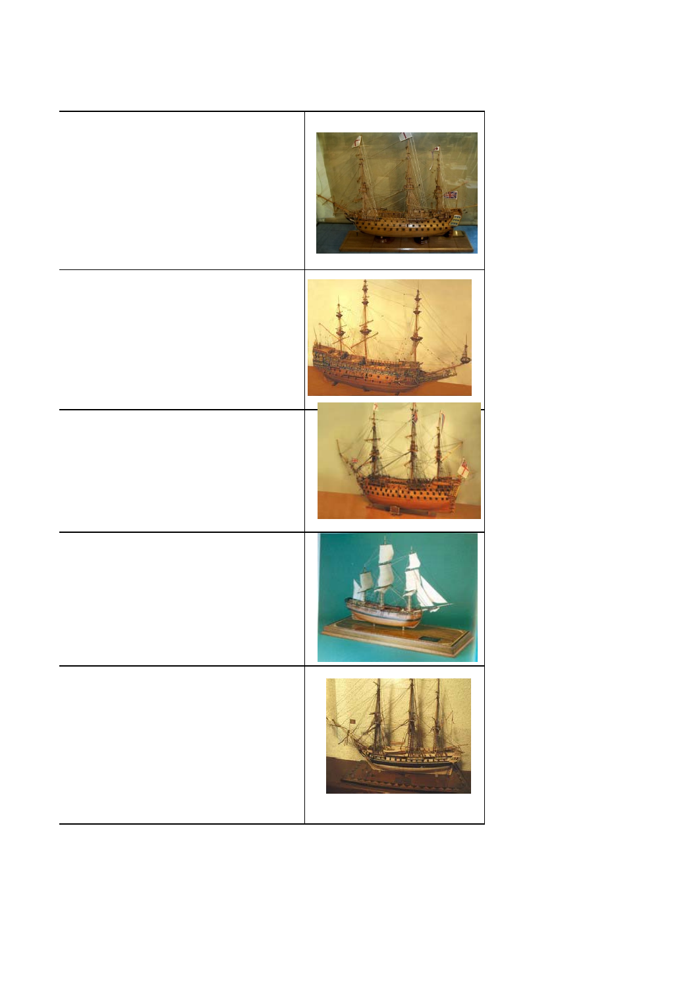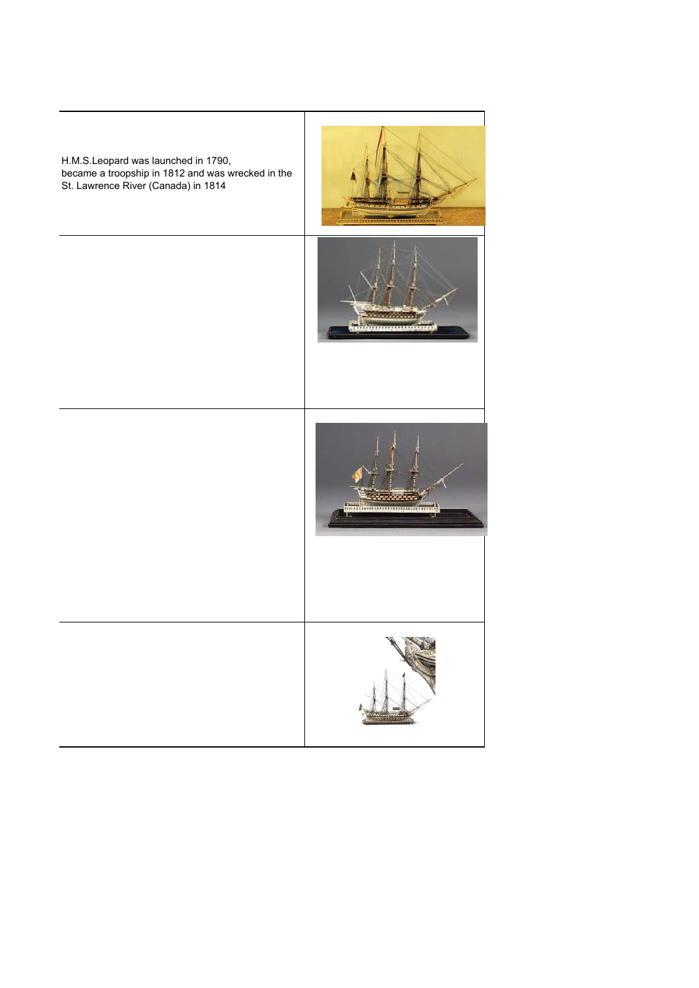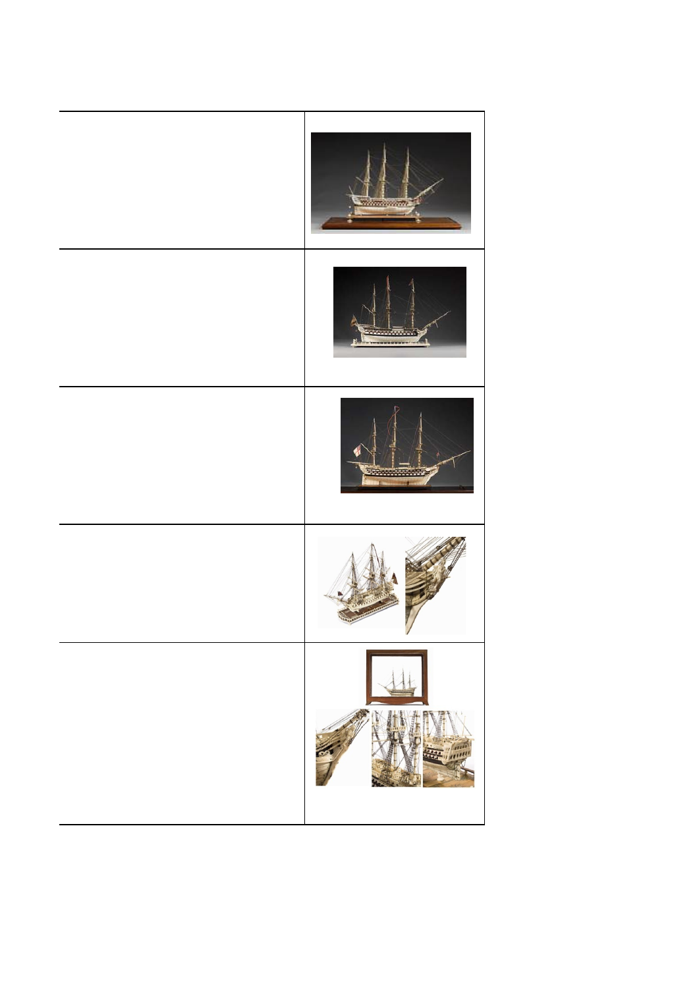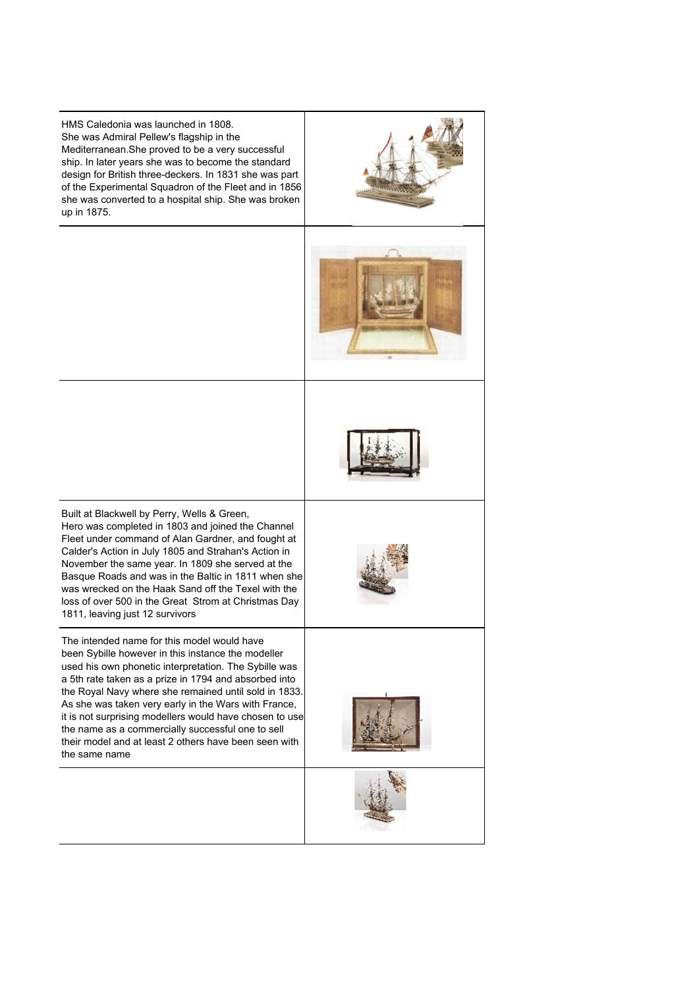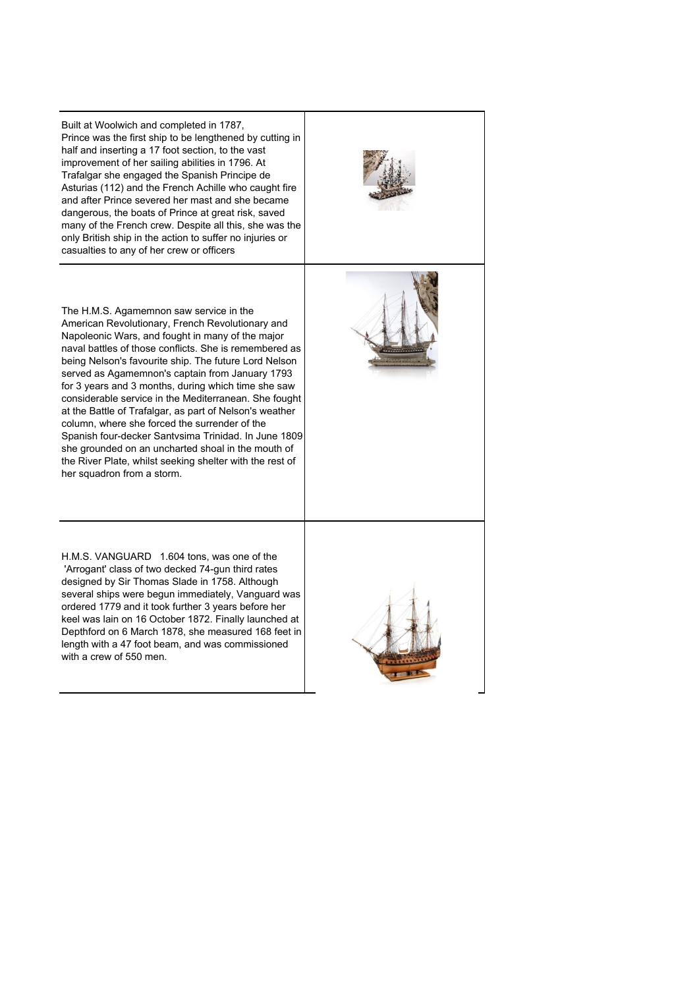Built at Woolwich and completed in 1787, Prince was the first ship to be lengthened by cutting in half and inserting a 17 foot section, to the vast improvement of her sailing abilities in 1796. At Trafalgar she engaged the Spanish Principe de Asturias (112) and the French Achille who caught fire and after Prince severed her mast and she became dangerous, the boats of Prince at great risk, saved many of the French crew. Despite all this, she was the only British ship in the action to suffer no injuries or casualties to any of her crew or officers

The H.M.S. Agamemnon saw service in the American Revolutionary, French Revolutionary and Napoleonic Wars, and fought in many of the major naval battles of those conflicts. She is remembered as being Nelson's favourite ship. The future Lord Nelson served as Agamemnon's captain from January 1793 for 3 years and 3 months, during which time she saw considerable service in the Mediterranean. She fought at the Battle of Trafalgar, as part of Nelson's weather column, where she forced the surrender of the Spanish four-decker Santνsima Trinidad. In June 1809 she grounded on an uncharted shoal in the mouth of the River Plate, whilst seeking shelter with the rest of her squadron from a storm.

H.M.S. VANGUARD 1.604 tons, was one of the 'Arrogant' class of two decked 74-gun third rates designed by Sir Thomas Slade in 1758. Although several ships were begun immediately, Vanguard was ordered 1779 and it took further 3 years before her keel was lain on 16 October 1872. Finally launched at Depthford on 6 March 1878, she measured 168 feet in length with a 47 foot beam, and was commissioned with a crew of 550 men.





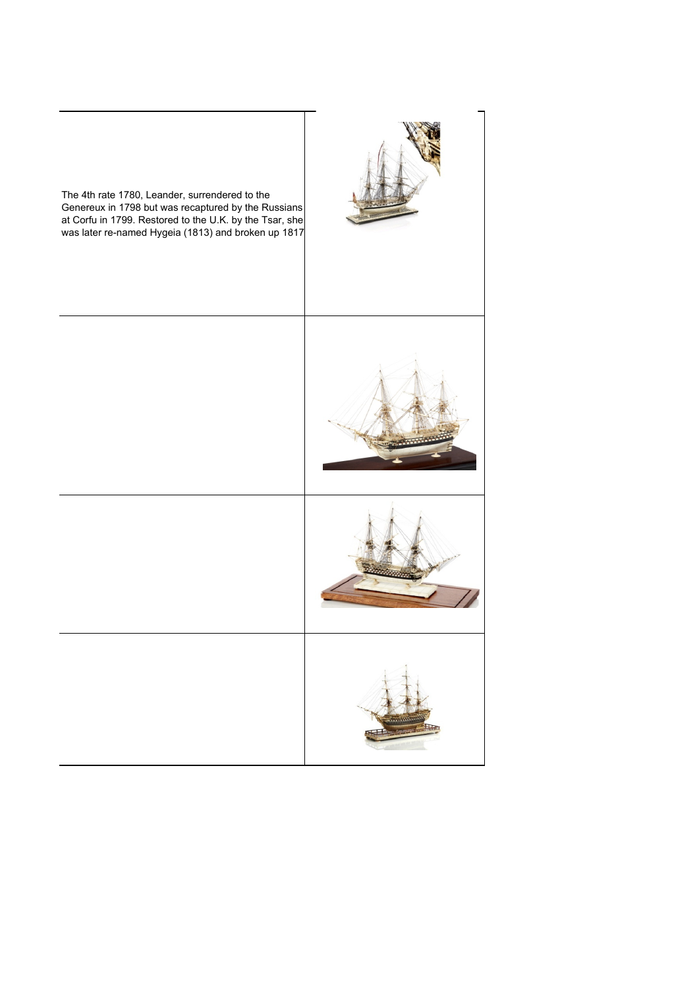